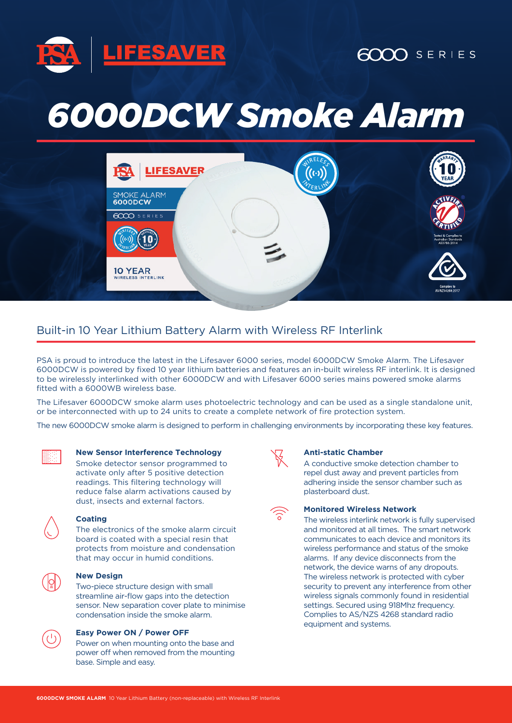

## $6000$  SERIES

# *6000DCW Smoke Alarm*



### Built-in 10 Year Lithium Battery Alarm with Wireless RF Interlink

PSA is proud to introduce the latest in the Lifesaver 6000 series, model 6000DCW Smoke Alarm. The Lifesaver 6000DCW is powered by fixed 10 year lithium batteries and features an in-built wireless RF interlink. It is designed to be wirelessly interlinked with other 6000DCW and with Lifesaver 6000 series mains powered smoke alarms fitted with a 6000WB wireless base.

The Lifesaver 6000DCW smoke alarm uses photoelectric technology and can be used as a single standalone unit, or be interconnected with up to 24 units to create a complete network of fire protection system.

The new 6000DCW smoke alarm is designed to perform in challenging environments by incorporating these key features.



#### **New Sensor Interference Technology**

Smoke detector sensor programmed to activate only after 5 positive detection readings. This filtering technology will reduce false alarm activations caused by dust, insects and external factors.



#### **Coating**

The electronics of the smoke alarm circuit board is coated with a special resin that protects from moisture and condensation that may occur in humid conditions.

#### **New Design**

Two-piece structure design with small streamline air-flow gaps into the detection sensor. New separation cover plate to minimise condensation inside the smoke alarm.



Power on when mounting onto the base and power off when removed from the mounting base. Simple and easy.



#### **Anti-static Chamber**

A conductive smoke detection chamber to repel dust away and prevent particles from adhering inside the sensor chamber such as plasterboard dust.

#### **Monitored Wireless Network**

The wireless interlink network is fully supervised and monitored at all times. The smart network communicates to each device and monitors its wireless performance and status of the smoke alarms. If any device disconnects from the network, the device warns of any dropouts. The wireless network is protected with cyber security to prevent any interference from other wireless signals commonly found in residential settings. Secured using 918Mhz frequency. Complies to AS/NZS 4268 standard radio equipment and systems.